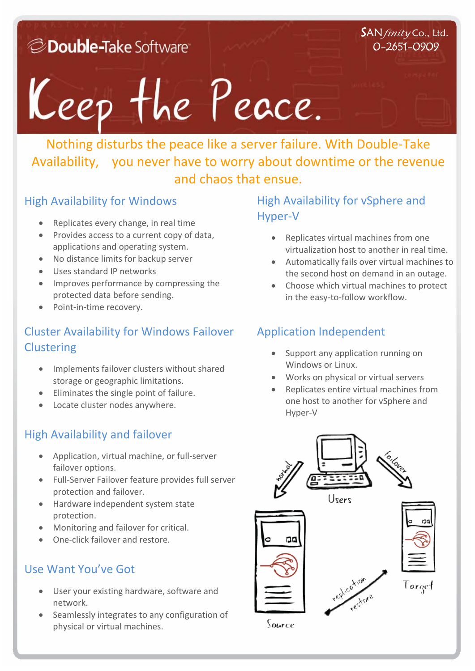*C* Double-Take Software

#### SAN*finity* Co., Ltd. 0-2651-0909

## Keep the Peace.

Nothing disturbs the peace like a server failure. With Double‐Take Availability, you never have to worry about downtime or the revenue and chaos that ensue.

#### High Availability for Windows

- Replicates every change, in real time
- Provides access to a current copy of data, applications and operating system.
- No distance limits for backup server
- Uses standard IP networks
- Improves performance by compressing the protected data before sending.
- Point-in-time recovery.

## Cluster Availability for Windows Failover **Clustering**

- Implements failover clusters without shared storage or geographic limitations.
- Eliminates the single point of failure.
- Locate cluster nodes anywhere.

## High Availability and failover

- Application, virtual machine, or full‐server failover options.
- Full‐Server Failover feature provides full server protection and failover.
- Hardware independent system state protection.
- Monitoring and failover for critical.
- One-click failover and restore.

#### Use Want You've Got

- User your existing hardware, software and network.
- Seamlessly integrates to any configuration of physical or virtual machines.

#### High Availability for vSphere and Hyper‐V

- Replicates virtual machines from one virtualization host to another in real time.
- Automatically fails over virtual machines to the second host on demand in an outage.
- Choose which virtual machines to protect in the easy-to-follow workflow.

## Application Independent

- Support any application running on Windows or Linux.
- Works on physical or virtual servers
- Replicates entire virtual machines from one host to another for vSphere and Hyper‐V